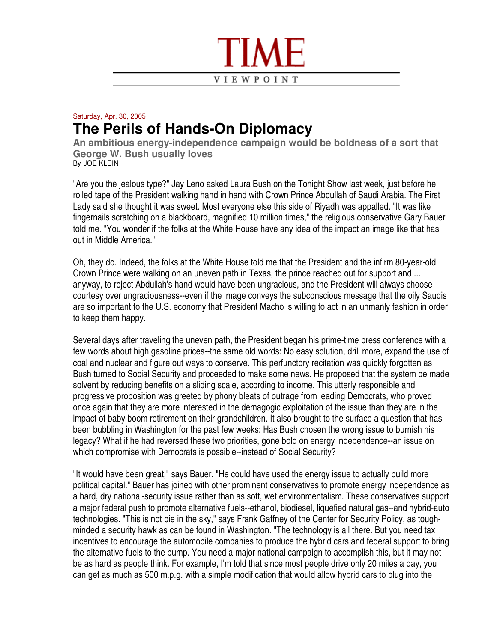

## Saturday, Apr. 30, 2005 **The Perils of Hands-On Diplomacy**

**An ambitious energy-independence campaign would be boldness of a sort that George W. Bush usually loves** By JOE KLEIN

"Are you the jealous type?" Jay Leno asked Laura Bush on the Tonight Show last week, just before he rolled tape of the President walking hand in hand with Crown Prince Abdullah of Saudi Arabia. The First Lady said she thought it was sweet. Most everyone else this side of Riyadh was appalled. "It was like fingernails scratching on a blackboard, magnified 10 million times," the religious conservative Gary Bauer told me. "You wonder if the folks at the White House have any idea of the impact an image like that has out in Middle America."

Oh, they do. Indeed, the folks at the White House told me that the President and the infirm 80-year-old Crown Prince were walking on an uneven path in Texas, the prince reached out for support and ... anyway, to reject Abdullah's hand would have been ungracious, and the President will always choose courtesy over ungraciousness--even if the image conveys the subconscious message that the oily Saudis are so important to the U.S. economy that President Macho is willing to act in an unmanly fashion in order to keep them happy.

Several days after traveling the uneven path, the President began his prime-time press conference with a few words about high gasoline prices--the same old words: No easy solution, drill more, expand the use of coal and nuclear and figure out ways to conserve. This perfunctory recitation was quickly forgotten as Bush turned to Social Security and proceeded to make some news. He proposed that the system be made solvent by reducing benefits on a sliding scale, according to income. This utterly responsible and progressive proposition was greeted by phony bleats of outrage from leading Democrats, who proved once again that they are more interested in the demagogic exploitation of the issue than they are in the impact of baby boom retirement on their grandchildren. It also brought to the surface a question that has been bubbling in Washington for the past few weeks: Has Bush chosen the wrong issue to burnish his legacy? What if he had reversed these two priorities, gone bold on energy independence--an issue on which compromise with Democrats is possible--instead of Social Security?

"It would have been great," says Bauer. "He could have used the energy issue to actually build more political capital." Bauer has joined with other prominent conservatives to promote energy independence as a hard, dry national-security issue rather than as soft, wet environmentalism. These conservatives support a major federal push to promote alternative fuels--ethanol, biodiesel, liquefied natural gas--and hybrid-auto technologies. "This is not pie in the sky," says Frank Gaffney of the Center for Security Policy, as toughminded a security hawk as can be found in Washington. "The technology is all there. But you need tax incentives to encourage the automobile companies to produce the hybrid cars and federal support to bring the alternative fuels to the pump. You need a major national campaign to accomplish this, but it may not be as hard as people think. For example, I'm told that since most people drive only 20 miles a day, you can get as much as 500 m.p.g. with a simple modification that would allow hybrid cars to plug into the